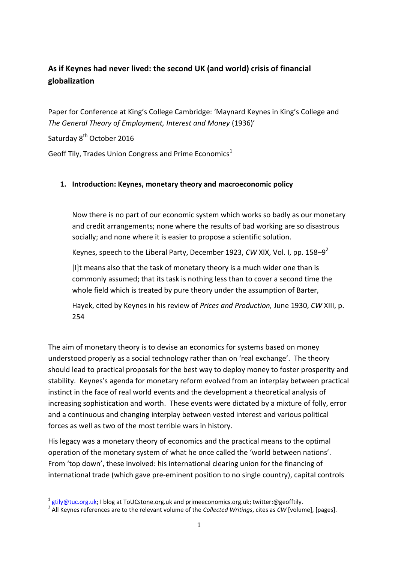# **As if Keynes had never lived: the second UK (and world) crisis of financial globalization**

Paper for Conference at King's College Cambridge: 'Maynard Keynes in King's College and *The General Theory of Employment, Interest and Money* (1936)'

Saturday 8<sup>th</sup> October 2016

**.** 

Geoff Tily, Trades Union Congress and Prime Economics<sup>1</sup>

#### **1. Introduction: Keynes, monetary theory and macroeconomic policy**

Now there is no part of our economic system which works so badly as our monetary and credit arrangements; none where the results of bad working are so disastrous socially; and none where it is easier to propose a scientific solution.

Keynes, speech to the Liberal Party, December 1923, *CW* XIX, Vol. I, pp. 158–9 2

[I]t means also that the task of monetary theory is a much wider one than is commonly assumed; that its task is nothing less than to cover a second time the whole field which is treated by pure theory under the assumption of Barter,

Hayek, cited by Keynes in his review of *Prices and Production,* June 1930, *CW* XIII, p. 254

The aim of monetary theory is to devise an economics for systems based on money understood properly as a social technology rather than on 'real exchange'. The theory should lead to practical proposals for the best way to deploy money to foster prosperity and stability. Keynes's agenda for monetary reform evolved from an interplay between practical instinct in the face of real world events and the development a theoretical analysis of increasing sophistication and worth. These events were dictated by a mixture of folly, error and a continuous and changing interplay between vested interest and various political forces as well as two of the most terrible wars in history.

His legacy was a monetary theory of economics and the practical means to the optimal operation of the monetary system of what he once called the 'world between nations'. From 'top down', these involved: his international clearing union for the financing of international trade (which gave pre-eminent position to no single country), capital controls

<sup>1</sup> [gtily@tuc.org.uk;](mailto:gtily@tuc.org.uk) I blog at ToUCstone.org.uk and primeeconomics.org.uk; twitter:@geofftily.

<sup>2</sup> All Keynes references are to the relevant volume of the *Collected Writings*, cites as *CW* [volume], [pages].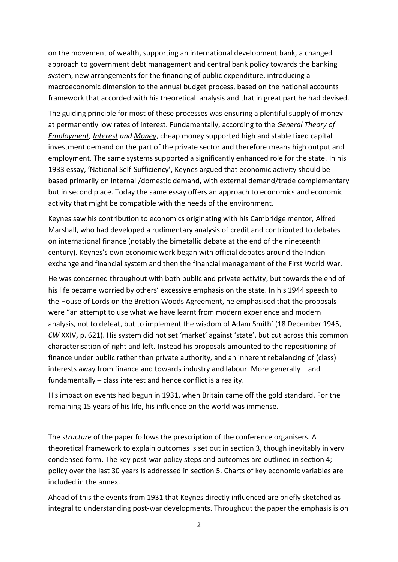on the movement of wealth, supporting an international development bank, a changed approach to government debt management and central bank policy towards the banking system, new arrangements for the financing of public expenditure, introducing a macroeconomic dimension to the annual budget process, based on the national accounts framework that accorded with his theoretical analysis and that in great part he had devised.

The guiding principle for most of these processes was ensuring a plentiful supply of money at permanently low rates of interest. Fundamentally, according to the *General Theory of Employment, Interest and Money*, cheap money supported high and stable fixed capital investment demand on the part of the private sector and therefore means high output and employment. The same systems supported a significantly enhanced role for the state. In his 1933 essay, 'National Self-Sufficiency', Keynes argued that economic activity should be based primarily on internal /domestic demand, with external demand/trade complementary but in second place. Today the same essay offers an approach to economics and economic activity that might be compatible with the needs of the environment.

Keynes saw his contribution to economics originating with his Cambridge mentor, Alfred Marshall, who had developed a rudimentary analysis of credit and contributed to debates on international finance (notably the bimetallic debate at the end of the nineteenth century). Keynes's own economic work began with official debates around the Indian exchange and financial system and then the financial management of the First World War.

He was concerned throughout with both public and private activity, but towards the end of his life became worried by others' excessive emphasis on the state. In his 1944 speech to the House of Lords on the Bretton Woods Agreement, he emphasised that the proposals were "an attempt to use what we have learnt from modern experience and modern analysis, not to defeat, but to implement the wisdom of Adam Smith' (18 December 1945, *CW* XXIV, p. 621). His system did not set 'market' against 'state', but cut across this common characterisation of right and left. Instead his proposals amounted to the repositioning of finance under public rather than private authority, and an inherent rebalancing of (class) interests away from finance and towards industry and labour. More generally – and fundamentally – class interest and hence conflict is a reality.

His impact on events had begun in 1931, when Britain came off the gold standard. For the remaining 15 years of his life, his influence on the world was immense.

The *structure* of the paper follows the prescription of the conference organisers. A theoretical framework to explain outcomes is set out in section 3, though inevitably in very condensed form. The key post-war policy steps and outcomes are outlined in section 4; policy over the last 30 years is addressed in section 5. Charts of key economic variables are included in the annex.

Ahead of this the events from 1931 that Keynes directly influenced are briefly sketched as integral to understanding post-war developments. Throughout the paper the emphasis is on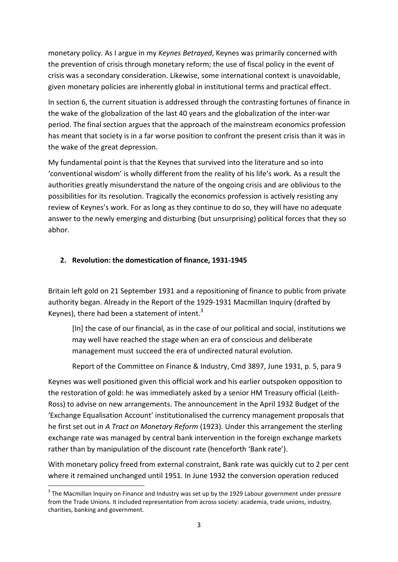monetary policy. As I argue in my *Keynes Betrayed*, Keynes was primarily concerned with the prevention of crisis through monetary reform; the use of fiscal policy in the event of crisis was a secondary consideration. Likewise, some international context is unavoidable, given monetary policies are inherently global in institutional terms and practical effect.

In section 6, the current situation is addressed through the contrasting fortunes of finance in the wake of the globalization of the last 40 years and the globalization of the inter-war period. The final section argues that the approach of the mainstream economics profession has meant that society is in a far worse position to confront the present crisis than it was in the wake of the great depression.

My fundamental point is that the Keynes that survived into the literature and so into 'conventional wisdom' is wholly different from the reality of his life's work. As a result the authorities greatly misunderstand the nature of the ongoing crisis and are oblivious to the possibilities for its resolution. Tragically the economics profession is actively resisting any review of Keynes's work. For as long as they continue to do so, they will have no adequate answer to the newly emerging and disturbing (but unsurprising) political forces that they so abhor.

### **2. Revolution: the domestication of finance, 1931-1945**

Britain left gold on 21 September 1931 and a repositioning of finance to public from private authority began. Already in the Report of the 1929-1931 Macmillan Inquiry (drafted by Keynes), there had been a statement of intent.<sup>3</sup>

[In] the case of our financial, as in the case of our political and social, institutions we may well have reached the stage when an era of conscious and deliberate management must succeed the era of undirected natural evolution.

Report of the Committee on Finance & Industry, Cmd 3897, June 1931, p. 5, para 9

Keynes was well positioned given this official work and his earlier outspoken opposition to the restoration of gold: he was immediately asked by a senior HM Treasury official (Leith-Ross) to advise on new arrangements. The announcement in the April 1932 Budget of the 'Exchange Equalisation Account' institutionalised the currency management proposals that he first set out in *A Tract on Monetary Reform* (1923). Under this arrangement the sterling exchange rate was managed by central bank intervention in the foreign exchange markets rather than by manipulation of the discount rate (henceforth 'Bank rate').

With monetary policy freed from external constraint, Bank rate was quickly cut to 2 per cent where it remained unchanged until 1951. In June 1932 the conversion operation reduced

 $3$  The Macmillan Inquiry on Finance and Industry was set up by the 1929 Labour government under pressure from the Trade Unions. It included representation from across society: academia, trade unions, industry, charities, banking and government.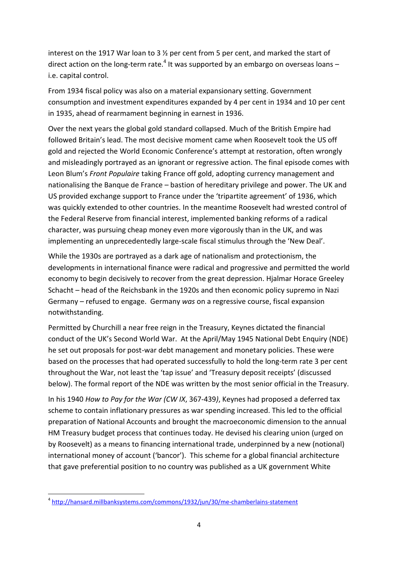interest on the 1917 War loan to 3 ½ per cent from 5 per cent, and marked the start of direct action on the long-term rate. $4$  It was supported by an embargo on overseas loans  $$ i.e. capital control.

From 1934 fiscal policy was also on a material expansionary setting. Government consumption and investment expenditures expanded by 4 per cent in 1934 and 10 per cent in 1935, ahead of rearmament beginning in earnest in 1936.

Over the next years the global gold standard collapsed. Much of the British Empire had followed Britain's lead. The most decisive moment came when Roosevelt took the US off gold and rejected the World Economic Conference's attempt at restoration, often wrongly and misleadingly portrayed as an ignorant or regressive action. The final episode comes with Leon Blum's *Front Populaire* taking France off gold, adopting currency management and nationalising the Banque de France – bastion of hereditary privilege and power. The UK and US provided exchange support to France under the 'tripartite agreement' of 1936, which was quickly extended to other countries. In the meantime Roosevelt had wrested control of the Federal Reserve from financial interest, implemented banking reforms of a radical character, was pursuing cheap money even more vigorously than in the UK, and was implementing an unprecedentedly large-scale fiscal stimulus through the 'New Deal'.

While the 1930s are portrayed as a dark age of nationalism and protectionism, the developments in international finance were radical and progressive and permitted the world economy to begin decisively to recover from the great depression. Hjalmar Horace Greeley Schacht – head of the Reichsbank in the 1920s and then economic policy supremo in Nazi Germany – refused to engage. Germany *was* on a regressive course, fiscal expansion notwithstanding.

Permitted by Churchill a near free reign in the Treasury, Keynes dictated the financial conduct of the UK's Second World War. At the April/May 1945 National Debt Enquiry (NDE) he set out proposals for post-war debt management and monetary policies. These were based on the processes that had operated successfully to hold the long-term rate 3 per cent throughout the War, not least the 'tap issue' and 'Treasury deposit receipts' (discussed below). The formal report of the NDE was written by the most senior official in the Treasury.

In his 1940 *How to Pay for the War (CW IX*, 367-439*)*, Keynes had proposed a deferred tax scheme to contain inflationary pressures as war spending increased. This led to the official preparation of National Accounts and brought the macroeconomic dimension to the annual HM Treasury budget process that continues today. He devised his clearing union (urged on by Roosevelt) as a means to financing international trade, underpinned by a new (notional) international money of account ('bancor'). This scheme for a global financial architecture that gave preferential position to no country was published as a UK government White

**<sup>.</sup>** 4 <http://hansard.millbanksystems.com/commons/1932/jun/30/me-chamberlains-statement>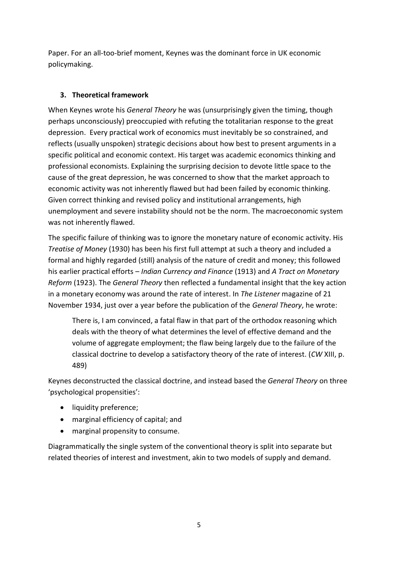Paper. For an all-too-brief moment, Keynes was the dominant force in UK economic policymaking.

# **3. Theoretical framework**

When Keynes wrote his *General Theory* he was (unsurprisingly given the timing, though perhaps unconsciously) preoccupied with refuting the totalitarian response to the great depression. Every practical work of economics must inevitably be so constrained, and reflects (usually unspoken) strategic decisions about how best to present arguments in a specific political and economic context. His target was academic economics thinking and professional economists. Explaining the surprising decision to devote little space to the cause of the great depression, he was concerned to show that the market approach to economic activity was not inherently flawed but had been failed by economic thinking. Given correct thinking and revised policy and institutional arrangements, high unemployment and severe instability should not be the norm. The macroeconomic system was not inherently flawed.

The specific failure of thinking was to ignore the monetary nature of economic activity. His *Treatise of Money* (1930) has been his first full attempt at such a theory and included a formal and highly regarded (still) analysis of the nature of credit and money; this followed his earlier practical efforts – *Indian Currency and Finance* (1913) and *A Tract on Monetary Reform* (1923). The *General Theory* then reflected a fundamental insight that the key action in a monetary economy was around the rate of interest. In *The Listener* magazine of 21 November 1934, just over a year before the publication of the *General Theory*, he wrote:

There is, I am convinced, a fatal flaw in that part of the orthodox reasoning which deals with the theory of what determines the level of effective demand and the volume of aggregate employment; the flaw being largely due to the failure of the classical doctrine to develop a satisfactory theory of the rate of interest. (*CW* XIII, p. 489)

Keynes deconstructed the classical doctrine, and instead based the *General Theory* on three 'psychological propensities':

- liquidity preference;
- marginal efficiency of capital; and
- marginal propensity to consume.

Diagrammatically the single system of the conventional theory is split into separate but related theories of interest and investment, akin to two models of supply and demand.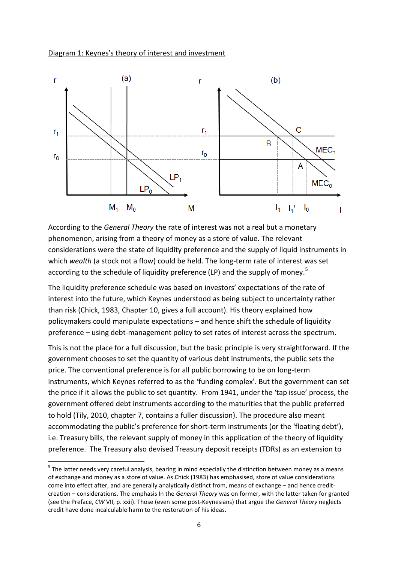



According to the *General Theory* the rate of interest was not a real but a monetary phenomenon, arising from a theory of money as a store of value. The relevant considerations were the state of liquidity preference and the supply of liquid instruments in which *wealth* (a stock not a flow) could be held. The long-term rate of interest was set according to the schedule of liquidity preference (LP) and the supply of money.<sup>5</sup>

The liquidity preference schedule was based on investors' expectations of the rate of interest into the future, which Keynes understood as being subject to uncertainty rather than risk (Chick, 1983, Chapter 10, gives a full account). His theory explained how policymakers could manipulate expectations – and hence shift the schedule of liquidity preference – using debt-management policy to set rates of interest across the spectrum.

This is not the place for a full discussion, but the basic principle is very straightforward. If the government chooses to set the quantity of various debt instruments, the public sets the price. The conventional preference is for all public borrowing to be on long-term instruments, which Keynes referred to as the 'funding complex'. But the government can set the price if it allows the public to set quantity. From 1941, under the 'tap issue' process, the government offered debt instruments according to the maturities that the public preferred to hold (Tily, 2010, chapter 7, contains a fuller discussion). The procedure also meant accommodating the public's preference for short-term instruments (or the 'floating debt'), i.e. Treasury bills, the relevant supply of money in this application of the theory of liquidity preference. The Treasury also devised Treasury deposit receipts (TDRs) as an extension to

<sup>&</sup>lt;sup>5</sup> The latter needs very careful analysis, bearing in mind especially the distinction between money as a means of exchange and money as a store of value. As Chick (1983) has emphasised, store of value considerations come into effect after, and are generally analytically distinct from, means of exchange – and hence creditcreation – considerations. The emphasis In the *General Theory* was on former, with the latter taken for granted (see the Preface, *CW* VII, p. xxii). Those (even some post-Keynesians) that argue the *General Theory* neglects credit have done incalculable harm to the restoration of his ideas.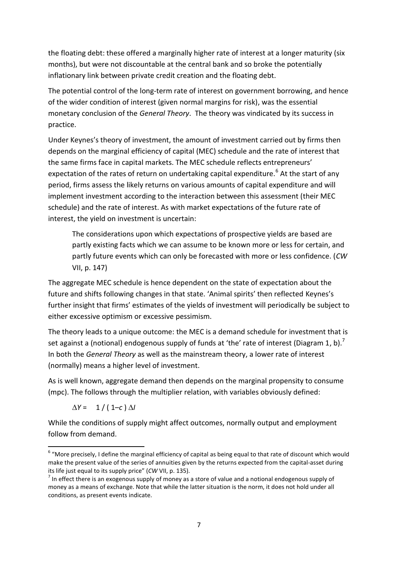the floating debt: these offered a marginally higher rate of interest at a longer maturity (six months), but were not discountable at the central bank and so broke the potentially inflationary link between private credit creation and the floating debt.

The potential control of the long-term rate of interest on government borrowing, and hence of the wider condition of interest (given normal margins for risk), was the essential monetary conclusion of the *General Theory*. The theory was vindicated by its success in practice.

Under Keynes's theory of investment, the amount of investment carried out by firms then depends on the marginal efficiency of capital (MEC) schedule and the rate of interest that the same firms face in capital markets. The MEC schedule reflects entrepreneurs' expectation of the rates of return on undertaking capital expenditure.<sup>6</sup> At the start of any period, firms assess the likely returns on various amounts of capital expenditure and will implement investment according to the interaction between this assessment (their MEC schedule) and the rate of interest. As with market expectations of the future rate of interest, the yield on investment is uncertain:

The considerations upon which expectations of prospective yields are based are partly existing facts which we can assume to be known more or less for certain, and partly future events which can only be forecasted with more or less confidence. (*CW*  VII, p. 147)

The aggregate MEC schedule is hence dependent on the state of expectation about the future and shifts following changes in that state. 'Animal spirits' then reflected Keynes's further insight that firms' estimates of the yields of investment will periodically be subject to either excessive optimism or excessive pessimism.

The theory leads to a unique outcome: the MEC is a demand schedule for investment that is set against a (notional) endogenous supply of funds at 'the' rate of interest (Diagram 1, b).<sup>7</sup> In both the *General Theory* as well as the mainstream theory, a lower rate of interest (normally) means a higher level of investment.

As is well known, aggregate demand then depends on the marginal propensity to consume (mpc). The follows through the multiplier relation, with variables obviously defined:

 $\Delta Y = 1 / (1 - c) \Delta I$ 

While the conditions of supply might affect outcomes, normally output and employment follow from demand.

**<sup>.</sup>**  $6\,$  "More precisely, I define the marginal efficiency of capital as being equal to that rate of discount which would make the present value of the series of annuities given by the returns expected from the capital-asset during its life just equal to its supply price" (*CW* VII, p. 135).

 $<sup>7</sup>$  In effect there is an exogenous supply of money as a store of value and a notional endogenous supply of</sup> money as a means of exchange. Note that while the latter situation is the norm, it does not hold under all conditions, as present events indicate.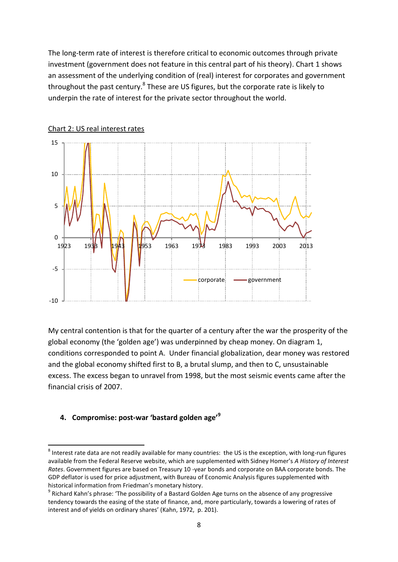The long-term rate of interest is therefore critical to economic outcomes through private investment (government does not feature in this central part of his theory). Chart 1 shows an assessment of the underlying condition of (real) interest for corporates and government throughout the past century.<sup>8</sup> These are US figures, but the corporate rate is likely to underpin the rate of interest for the private sector throughout the world.





My central contention is that for the quarter of a century after the war the prosperity of the global economy (the 'golden age') was underpinned by cheap money. On diagram 1, conditions corresponded to point A. Under financial globalization, dear money was restored and the global economy shifted first to B, a brutal slump, and then to C, unsustainable excess. The excess began to unravel from 1998, but the most seismic events came after the financial crisis of 2007.

#### **4. Compromise: post-war 'bastard golden age'<sup>9</sup>**

 $^8$  Interest rate data are not readily available for many countries: the US is the exception, with long-run figures available from the Federal Reserve website, which are supplemented with Sidney Homer's *A History of Interest Rates*. Government figures are based on Treasury 10 -year bonds and corporate on BAA corporate bonds. The GDP deflator is used for price adjustment, with Bureau of Economic Analysis figures supplemented with historical information from Friedman's monetary history.

<sup>&</sup>lt;sup>9</sup> Richard Kahn's phrase: 'The possibility of a Bastard Golden Age turns on the absence of any progressive tendency towards the easing of the state of finance, and, more particularly, towards a lowering of rates of interest and of yields on ordinary shares' (Kahn, 1972, p. 201).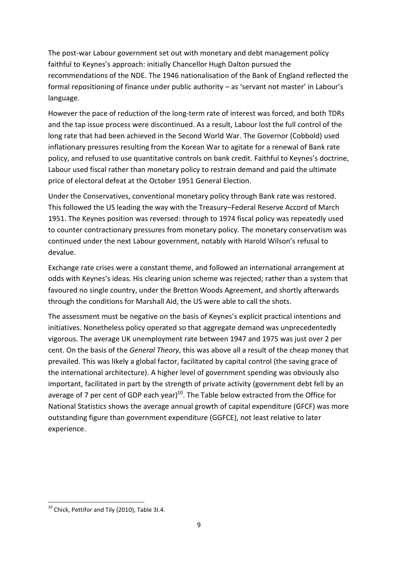The post-war Labour government set out with monetary and debt management policy faithful to Keynes's approach: initially Chancellor Hugh Dalton pursued the recommendations of the NDE. The 1946 nationalisation of the Bank of England reflected the formal repositioning of finance under public authority – as 'servant not master' in Labour's language.

However the pace of reduction of the long-term rate of interest was forced, and both TDRs and the tap issue process were discontinued. As a result, Labour lost the full control of the long rate that had been achieved in the Second World War. The Governor (Cobbold) used inflationary pressures resulting from the Korean War to agitate for a renewal of Bank rate policy, and refused to use quantitative controls on bank credit. Faithful to Keynes's doctrine, Labour used fiscal rather than monetary policy to restrain demand and paid the ultimate price of electoral defeat at the October 1951 General Election.

Under the Conservatives, conventional monetary policy through Bank rate was restored. This followed the US leading the way with the Treasury–Federal Reserve Accord of March 1951. The Keynes position was reversed: through to 1974 fiscal policy was repeatedly used to counter contractionary pressures from monetary policy. The monetary conservatism was continued under the next Labour government, notably with Harold Wilson's refusal to devalue.

Exchange rate crises were a constant theme, and followed an international arrangement at odds with Keynes's ideas. His clearing union scheme was rejected; rather than a system that favoured no single country, under the Bretton Woods Agreement, and shortly afterwards through the conditions for Marshall Aid, the US were able to call the shots.

The assessment must be negative on the basis of Keynes's explicit practical intentions and initiatives. Nonetheless policy operated so that aggregate demand was unprecedentedly vigorous. The average UK unemployment rate between 1947 and 1975 was just over 2 per cent. On the basis of the *General Theory*, this was above all a result of the cheap money that prevailed. This was likely a global factor, facilitated by capital control (the saving grace of the international architecture). A higher level of government spending was obviously also important, facilitated in part by the strength of private activity (government debt fell by an average of 7 per cent of GDP each year) $^{10}$ . The Table below extracted from the Office for National Statistics shows the average annual growth of capital expenditure (GFCF) was more outstanding figure than government expenditure (GGFCE), not least relative to later experience.

 $10$  Chick, Pettifor and Tily (2010), Table 3I.4.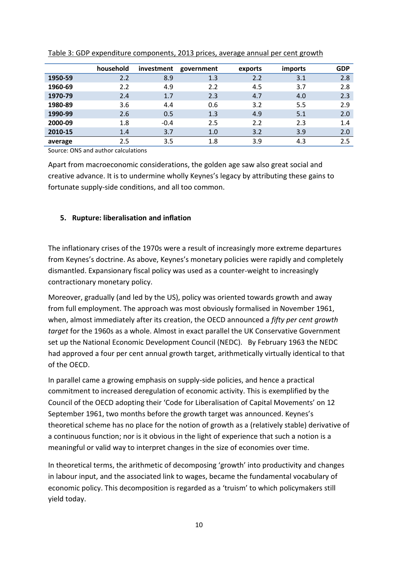|         | household | investment | government | exports | imports | <b>GDP</b> |
|---------|-----------|------------|------------|---------|---------|------------|
| 1950-59 | 2.2       | 8.9        | 1.3        | 2.2     | 3.1     | 2.8        |
| 1960-69 | 2.2       | 4.9        | 2.2        | 4.5     | 3.7     | 2.8        |
| 1970-79 | 2.4       | 1.7        | 2.3        | 4.7     | 4.0     | 2.3        |
| 1980-89 | 3.6       | 4.4        | 0.6        | 3.2     | 5.5     | 2.9        |
| 1990-99 | 2.6       | 0.5        | 1.3        | 4.9     | 5.1     | 2.0        |
| 2000-09 | 1.8       | $-0.4$     | 2.5        | 2.2     | 2.3     | 1.4        |
| 2010-15 | 1.4       | 3.7        | 1.0        | 3.2     | 3.9     | 2.0        |
| average | 2.5       | 3.5        | 1.8        | 3.9     | 4.3     | 2.5        |

Table 3: GDP expenditure components, 2013 prices, average annual per cent growth

Source: ONS and author calculations

Apart from macroeconomic considerations, the golden age saw also great social and creative advance. It is to undermine wholly Keynes's legacy by attributing these gains to fortunate supply-side conditions, and all too common.

#### **5. Rupture: liberalisation and inflation**

The inflationary crises of the 1970s were a result of increasingly more extreme departures from Keynes's doctrine. As above, Keynes's monetary policies were rapidly and completely dismantled. Expansionary fiscal policy was used as a counter-weight to increasingly contractionary monetary policy.

Moreover, gradually (and led by the US), policy was oriented towards growth and away from full employment. The approach was most obviously formalised in November 1961, when, almost immediately after its creation, the OECD announced a *fifty per cent growth target* for the 1960s as a whole. Almost in exact parallel the UK Conservative Government set up the National Economic Development Council (NEDC). By February 1963 the NEDC had approved a four per cent annual growth target, arithmetically virtually identical to that of the OECD.

In parallel came a growing emphasis on supply-side policies, and hence a practical commitment to increased deregulation of economic activity. This is exemplified by the Council of the OECD adopting their 'Code for Liberalisation of Capital Movements' on 12 September 1961, two months before the growth target was announced. Keynes's theoretical scheme has no place for the notion of growth as a (relatively stable) derivative of a continuous function; nor is it obvious in the light of experience that such a notion is a meaningful or valid way to interpret changes in the size of economies over time.

In theoretical terms, the arithmetic of decomposing 'growth' into productivity and changes in labour input, and the associated link to wages, became the fundamental vocabulary of economic policy. This decomposition is regarded as a 'truism' to which policymakers still yield today.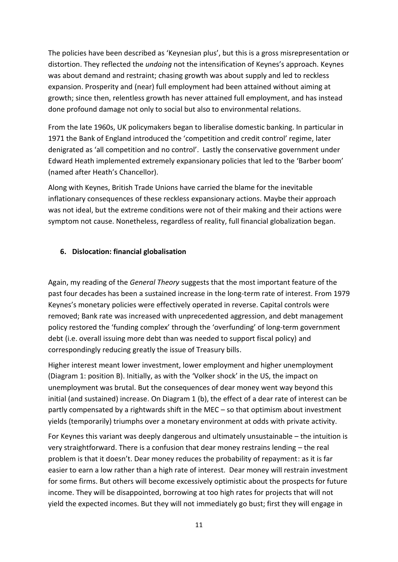The policies have been described as 'Keynesian plus', but this is a gross misrepresentation or distortion. They reflected the *undoing* not the intensification of Keynes's approach. Keynes was about demand and restraint; chasing growth was about supply and led to reckless expansion. Prosperity and (near) full employment had been attained without aiming at growth; since then, relentless growth has never attained full employment, and has instead done profound damage not only to social but also to environmental relations.

From the late 1960s, UK policymakers began to liberalise domestic banking. In particular in 1971 the Bank of England introduced the 'competition and credit control' regime, later denigrated as 'all competition and no control'. Lastly the conservative government under Edward Heath implemented extremely expansionary policies that led to the 'Barber boom' (named after Heath's Chancellor).

Along with Keynes, British Trade Unions have carried the blame for the inevitable inflationary consequences of these reckless expansionary actions. Maybe their approach was not ideal, but the extreme conditions were not of their making and their actions were symptom not cause. Nonetheless, regardless of reality, full financial globalization began.

#### **6. Dislocation: financial globalisation**

Again, my reading of the *General Theory* suggests that the most important feature of the past four decades has been a sustained increase in the long-term rate of interest. From 1979 Keynes's monetary policies were effectively operated in reverse. Capital controls were removed; Bank rate was increased with unprecedented aggression, and debt management policy restored the 'funding complex' through the 'overfunding' of long-term government debt (i.e. overall issuing more debt than was needed to support fiscal policy) and correspondingly reducing greatly the issue of Treasury bills.

Higher interest meant lower investment, lower employment and higher unemployment (Diagram 1: position B). Initially, as with the 'Volker shock' in the US, the impact on unemployment was brutal. But the consequences of dear money went way beyond this initial (and sustained) increase. On Diagram 1 (b), the effect of a dear rate of interest can be partly compensated by a rightwards shift in the MEC – so that optimism about investment yields (temporarily) triumphs over a monetary environment at odds with private activity.

For Keynes this variant was deeply dangerous and ultimately unsustainable – the intuition is very straightforward. There is a confusion that dear money restrains lending – the real problem is that it doesn't. Dear money reduces the probability of repayment: as it is far easier to earn a low rather than a high rate of interest. Dear money will restrain investment for some firms. But others will become excessively optimistic about the prospects for future income. They will be disappointed, borrowing at too high rates for projects that will not yield the expected incomes. But they will not immediately go bust; first they will engage in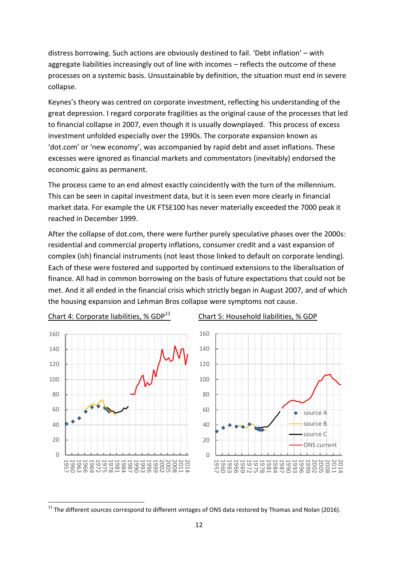distress borrowing. Such actions are obviously destined to fail. 'Debt inflation' – with aggregate liabilities increasingly out of line with incomes – reflects the outcome of these processes on a systemic basis. Unsustainable by definition, the situation must end in severe collapse.

Keynes's theory was centred on corporate investment, reflecting his understanding of the great depression. I regard corporate fragilities as the original cause of the processes that led to financial collapse in 2007, even though it is usually downplayed. This process of excess investment unfolded especially over the 1990s. The corporate expansion known as 'dot.com' or 'new economy', was accompanied by rapid debt and asset inflations. These excesses were ignored as financial markets and commentators (inevitably) endorsed the economic gains as permanent.

The process came to an end almost exactly coincidently with the turn of the millennium. This can be seen in capital investment data, but it is seen even more clearly in financial market data. For example the UK FTSE100 has never materially exceeded the 7000 peak it reached in December 1999.

After the collapse of dot.com, there were further purely speculative phases over the 2000s: residential and commercial property inflations, consumer credit and a vast expansion of complex (ish) financial instruments (not least those linked to default on corporate lending). Each of these were fostered and supported by continued extensions to the liberalisation of finance. All had in common borrowing on the basis of future expectations that could not be met. And it all ended in the financial crisis which strictly began in August 2007, and of which the housing expansion and Lehman Bros collapse were symptoms not cause.



Chart 4: Corporate liabilities, %  $GDP<sup>11</sup>$  Chart 5: Household liabilities, % GDP

 $11$  The different sources correspond to different vintages of ONS data restored by Thomas and Nolan (2016).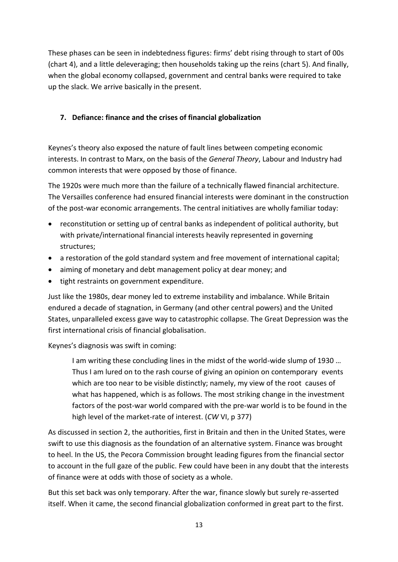These phases can be seen in indebtedness figures: firms' debt rising through to start of 00s (chart 4), and a little deleveraging; then households taking up the reins (chart 5). And finally, when the global economy collapsed, government and central banks were required to take up the slack. We arrive basically in the present.

# **7. Defiance: finance and the crises of financial globalization**

Keynes's theory also exposed the nature of fault lines between competing economic interests. In contrast to Marx, on the basis of the *General Theory*, Labour and Industry had common interests that were opposed by those of finance.

The 1920s were much more than the failure of a technically flawed financial architecture. The Versailles conference had ensured financial interests were dominant in the construction of the post-war economic arrangements. The central initiatives are wholly familiar today:

- reconstitution or setting up of central banks as independent of political authority, but with private/international financial interests heavily represented in governing structures;
- a restoration of the gold standard system and free movement of international capital;
- aiming of monetary and debt management policy at dear money; and
- tight restraints on government expenditure.

Just like the 1980s, dear money led to extreme instability and imbalance. While Britain endured a decade of stagnation, in Germany (and other central powers) and the United States, unparalleled excess gave way to catastrophic collapse. The Great Depression was the first international crisis of financial globalisation.

Keynes's diagnosis was swift in coming:

I am writing these concluding lines in the midst of the world-wide slump of 1930 … Thus I am lured on to the rash course of giving an opinion on contemporary events which are too near to be visible distinctly; namely, my view of the root causes of what has happened, which is as follows. The most striking change in the investment factors of the post-war world compared with the pre-war world is to be found in the high level of the market-rate of interest. (*CW* VI, p 377)

As discussed in section 2, the authorities, first in Britain and then in the United States, were swift to use this diagnosis as the foundation of an alternative system. Finance was brought to heel. In the US, the Pecora Commission brought leading figures from the financial sector to account in the full gaze of the public. Few could have been in any doubt that the interests of finance were at odds with those of society as a whole.

But this set back was only temporary. After the war, finance slowly but surely re-asserted itself. When it came, the second financial globalization conformed in great part to the first.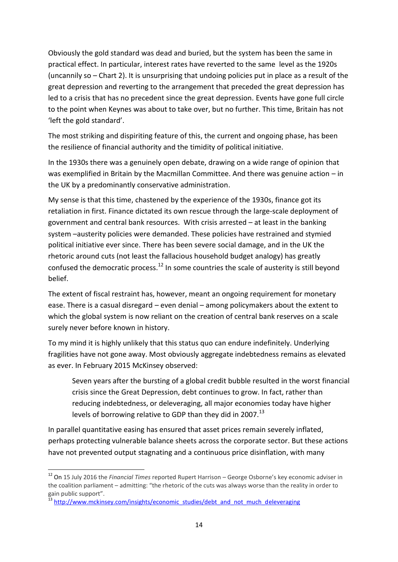Obviously the gold standard was dead and buried, but the system has been the same in practical effect. In particular, interest rates have reverted to the same level as the 1920s (uncannily so – Chart 2). It is unsurprising that undoing policies put in place as a result of the great depression and reverting to the arrangement that preceded the great depression has led to a crisis that has no precedent since the great depression. Events have gone full circle to the point when Keynes was about to take over, but no further. This time, Britain has not 'left the gold standard'.

The most striking and dispiriting feature of this, the current and ongoing phase, has been the resilience of financial authority and the timidity of political initiative.

In the 1930s there was a genuinely open debate, drawing on a wide range of opinion that was exemplified in Britain by the Macmillan Committee. And there was genuine action – in the UK by a predominantly conservative administration.

My sense is that this time, chastened by the experience of the 1930s, finance got its retaliation in first. Finance dictated its own rescue through the large-scale deployment of government and central bank resources. With crisis arrested – at least in the banking system –austerity policies were demanded. These policies have restrained and stymied political initiative ever since. There has been severe social damage, and in the UK the rhetoric around cuts (not least the fallacious household budget analogy) has greatly confused the democratic process.<sup>12</sup> In some countries the scale of austerity is still beyond belief.

The extent of fiscal restraint has, however, meant an ongoing requirement for monetary ease. There is a casual disregard – even denial – among policymakers about the extent to which the global system is now reliant on the creation of central bank reserves on a scale surely never before known in history.

To my mind it is highly unlikely that this status quo can endure indefinitely. Underlying fragilities have not gone away. Most obviously aggregate indebtedness remains as elevated as ever. In February 2015 McKinsey observed:

Seven years after the bursting of a global credit bubble resulted in the worst financial crisis since the Great Depression, debt continues to grow. In fact, rather than reducing indebtedness, or deleveraging, all major economies today have higher levels of borrowing relative to GDP than they did in 2007.<sup>13</sup>

In parallel quantitative easing has ensured that asset prices remain severely inflated, perhaps protecting vulnerable balance sheets across the corporate sector. But these actions have not prevented output stagnating and a continuous price disinflation, with many

 $\overline{\phantom{a}}$ 

<sup>12</sup> On 15 July 2016 the *Financial Times* reported Rupert Harrison – George Osborne's key economic adviser in the coalition parliament – admitting: "the rhetoric of the cuts was always worse than the reality in order to gain public support".

<sup>&</sup>lt;sup>13</sup> [http://www.mckinsey.com/insights/economic\\_studies/debt\\_and\\_not\\_much\\_deleveraging](http://www.mckinsey.com/insights/economic_studies/debt_and_not_much_deleveraging)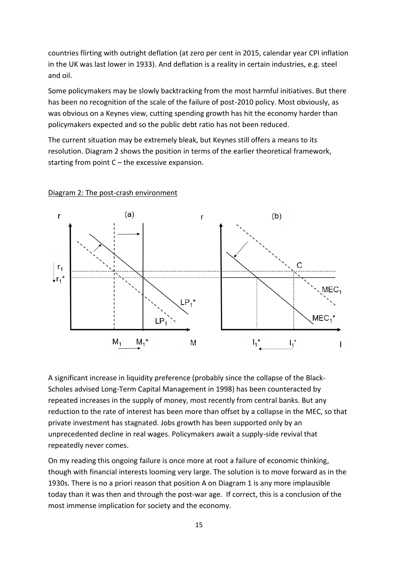countries flirting with outright deflation (at zero per cent in 2015, calendar year CPI inflation in the UK was last lower in 1933). And deflation is a reality in certain industries, e.g. steel and oil.

Some policymakers may be slowly backtracking from the most harmful initiatives. But there has been no recognition of the scale of the failure of post-2010 policy. Most obviously, as was obvious on a Keynes view, cutting spending growth has hit the economy harder than policymakers expected and so the public debt ratio has not been reduced.

The current situation may be extremely bleak, but Keynes still offers a means to its resolution. Diagram 2 shows the position in terms of the earlier theoretical framework, starting from point  $C$  – the excessive expansion.



#### Diagram 2: The post-crash environment

A significant increase in liquidity preference (probably since the collapse of the Black-Scholes advised Long-Term Capital Management in 1998) has been counteracted by repeated increases in the supply of money, most recently from central banks. But any reduction to the rate of interest has been more than offset by a collapse in the MEC, so that private investment has stagnated. Jobs growth has been supported only by an unprecedented decline in real wages. Policymakers await a supply-side revival that repeatedly never comes.

On my reading this ongoing failure is once more at root a failure of economic thinking, though with financial interests looming very large. The solution is to move forward as in the 1930s. There is no a priori reason that position A on Diagram 1 is any more implausible today than it was then and through the post-war age. If correct, this is a conclusion of the most immense implication for society and the economy.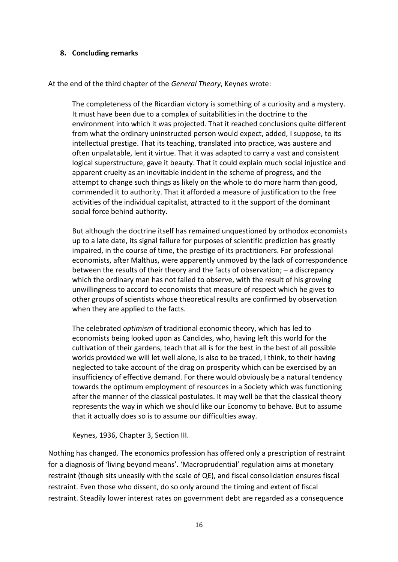#### **8. Concluding remarks**

At the end of the third chapter of the *General Theory*, Keynes wrote:

The completeness of the Ricardian victory is something of a curiosity and a mystery. It must have been due to a complex of suitabilities in the doctrine to the environment into which it was projected. That it reached conclusions quite different from what the ordinary uninstructed person would expect, added, I suppose, to its intellectual prestige. That its teaching, translated into practice, was austere and often unpalatable, lent it virtue. That it was adapted to carry a vast and consistent logical superstructure, gave it beauty. That it could explain much social injustice and apparent cruelty as an inevitable incident in the scheme of progress, and the attempt to change such things as likely on the whole to do more harm than good, commended it to authority. That it afforded a measure of justification to the free activities of the individual capitalist, attracted to it the support of the dominant social force behind authority.

But although the doctrine itself has remained unquestioned by orthodox economists up to a late date, its signal failure for purposes of scientific prediction has greatly impaired, in the course of time, the prestige of its practitioners. For professional economists, after Malthus, were apparently unmoved by the lack of correspondence between the results of their theory and the facts of observation; – a discrepancy which the ordinary man has not failed to observe, with the result of his growing unwillingness to accord to economists that measure of respect which he gives to other groups of scientists whose theoretical results are confirmed by observation when they are applied to the facts.

The celebrated *optimism* of traditional economic theory, which has led to economists being looked upon as Candides, who, having left this world for the cultivation of their gardens, teach that all is for the best in the best of all possible worlds provided we will let well alone, is also to be traced, I think, to their having neglected to take account of the drag on prosperity which can be exercised by an insufficiency of effective demand. For there would obviously be a natural tendency towards the optimum employment of resources in a Society which was functioning after the manner of the classical postulates. It may well be that the classical theory represents the way in which we should like our Economy to behave. But to assume that it actually does so is to assume our difficulties away.

Keynes, 1936, Chapter 3, Section III.

Nothing has changed. The economics profession has offered only a prescription of restraint for a diagnosis of 'living beyond means'. 'Macroprudential' regulation aims at monetary restraint (though sits uneasily with the scale of QE), and fiscal consolidation ensures fiscal restraint. Even those who dissent, do so only around the timing and extent of fiscal restraint. Steadily lower interest rates on government debt are regarded as a consequence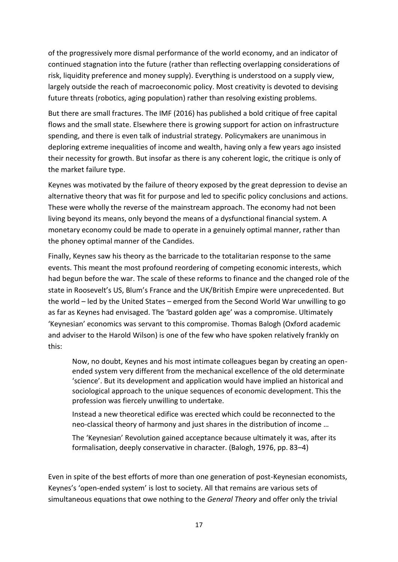of the progressively more dismal performance of the world economy, and an indicator of continued stagnation into the future (rather than reflecting overlapping considerations of risk, liquidity preference and money supply). Everything is understood on a supply view, largely outside the reach of macroeconomic policy. Most creativity is devoted to devising future threats (robotics, aging population) rather than resolving existing problems.

But there are small fractures. The IMF (2016) has published a bold critique of free capital flows and the small state. Elsewhere there is growing support for action on infrastructure spending, and there is even talk of industrial strategy. Policymakers are unanimous in deploring extreme inequalities of income and wealth, having only a few years ago insisted their necessity for growth. But insofar as there is any coherent logic, the critique is only of the market failure type.

Keynes was motivated by the failure of theory exposed by the great depression to devise an alternative theory that was fit for purpose and led to specific policy conclusions and actions. These were wholly the reverse of the mainstream approach. The economy had not been living beyond its means, only beyond the means of a dysfunctional financial system. A monetary economy could be made to operate in a genuinely optimal manner, rather than the phoney optimal manner of the Candides.

Finally, Keynes saw his theory as the barricade to the totalitarian response to the same events. This meant the most profound reordering of competing economic interests, which had begun before the war. The scale of these reforms to finance and the changed role of the state in Roosevelt's US, Blum's France and the UK/British Empire were unprecedented. But the world – led by the United States – emerged from the Second World War unwilling to go as far as Keynes had envisaged. The 'bastard golden age' was a compromise. Ultimately 'Keynesian' economics was servant to this compromise. Thomas Balogh (Oxford academic and adviser to the Harold Wilson) is one of the few who have spoken relatively frankly on this:

Now, no doubt, Keynes and his most intimate colleagues began by creating an openended system very different from the mechanical excellence of the old determinate 'science'. But its development and application would have implied an historical and sociological approach to the unique sequences of economic development. This the profession was fiercely unwilling to undertake.

Instead a new theoretical edifice was erected which could be reconnected to the neo-classical theory of harmony and just shares in the distribution of income …

The 'Keynesian' Revolution gained acceptance because ultimately it was, after its formalisation, deeply conservative in character. (Balogh, 1976, pp. 83–4)

Even in spite of the best efforts of more than one generation of post-Keynesian economists, Keynes's 'open-ended system' is lost to society. All that remains are various sets of simultaneous equations that owe nothing to the *General Theory* and offer only the trivial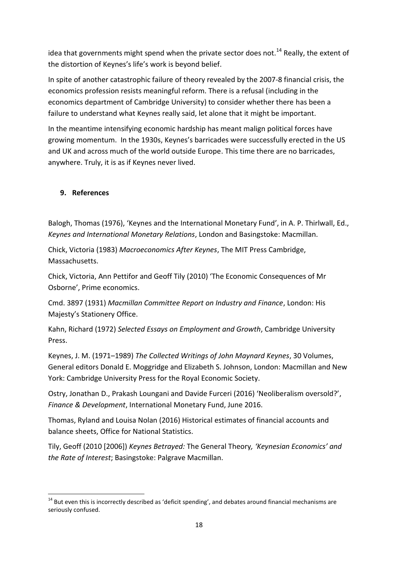idea that governments might spend when the private sector does not.<sup>14</sup> Really, the extent of the distortion of Keynes's life's work is beyond belief.

In spite of another catastrophic failure of theory revealed by the 2007-8 financial crisis, the economics profession resists meaningful reform. There is a refusal (including in the economics department of Cambridge University) to consider whether there has been a failure to understand what Keynes really said, let alone that it might be important.

In the meantime intensifying economic hardship has meant malign political forces have growing momentum. In the 1930s, Keynes's barricades were successfully erected in the US and UK and across much of the world outside Europe. This time there are no barricades, anywhere. Truly, it is as if Keynes never lived.

# **9. References**

Balogh, Thomas (1976), 'Keynes and the International Monetary Fund', in A. P. Thirlwall, Ed., *Keynes and International Monetary Relations*, London and Basingstoke: Macmillan.

Chick, Victoria (1983) *Macroeconomics After Keynes*, The MIT Press Cambridge, Massachusetts.

Chick, Victoria, Ann Pettifor and Geoff Tily (2010) 'The Economic Consequences of Mr Osborne', Prime economics.

Cmd. 3897 (1931) *Macmillan Committee Report on Industry and Finance*, London: His Majesty's Stationery Office.

Kahn, Richard (1972) *Selected Essays on Employment and Growth*, Cambridge University Press.

Keynes, J. M. (1971–1989) *The Collected Writings of John Maynard Keynes*, 30 Volumes, General editors Donald E. Moggridge and Elizabeth S. Johnson, London: Macmillan and New York: Cambridge University Press for the Royal Economic Society.

Ostry, Jonathan D., Prakash Loungani and Davide Furceri (2016) 'Neoliberalism oversold?', *Finance & Development*, International Monetary Fund, June 2016.

Thomas, Ryland and Louisa Nolan (2016) Historical estimates of financial accounts and balance sheets, Office for National Statistics.

Tily, Geoff (2010 [2006]) *Keynes Betrayed:* The General Theory*, 'Keynesian Economics' and the Rate of Interest*; Basingstoke: Palgrave Macmillan.

**<sup>.</sup>** <sup>14</sup> But even this is incorrectly described as 'deficit spending', and debates around financial mechanisms are seriously confused.